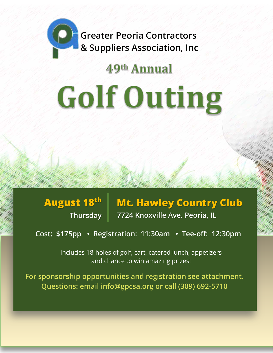**Greater Peoria Contractors & Suppliers Association, Inc**

## 49th Annual

## **Golf Outing**

**August 18th Thursday** **Mt. Hawley Country Club 7724 Knoxville Ave. Peoria, IL** 

**Cost: \$175pp • Registration: 11:30am • Tee-off: 12:30pm** 

Includes 18-holes of golf, cart, catered lunch, appetizers and chance to win amazing prizes!

**For sponsorship opportunities and registration see attachment. Questions: email info@gpcsa.org or call (309) 692-5710**